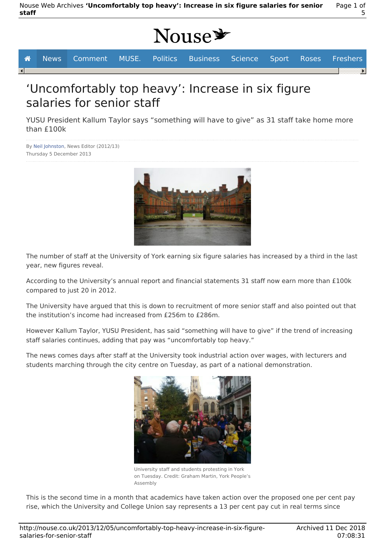# Nouse<sup>y</sup>

|                         | │ <i>▲</i> News Comment MUSE. Politics Business Science Sport Roses Freshers |  |  |  |  |
|-------------------------|------------------------------------------------------------------------------|--|--|--|--|
| $\lceil \bullet \rceil$ |                                                                              |  |  |  |  |
|                         |                                                                              |  |  |  |  |

## 'Uncomfortably top heavy': Increase in six figure salaries for senior staff

YUSU President Kallum Taylor says "something will have to give" as 31 staff take home more than £100k

By Neil Johnston, News Editor (2012/13) Thursday 5 December 2013



The number of staff at the University of York earning six figure salaries has increased by a third in the last year, new figures reveal.

According to the University's annual report and financial statements 31 staff now earn more than £100k compared to just 20 in 2012.

The University have argued that this is down to recruitment of more senior staff and also pointed out that the institution's income had increased from £256m to £286m.

However Kallum Taylor, YUSU President, has said "something will have to give" if the trend of increasing staff salaries continues, adding that pay was "uncomfortably top heavy."

The news comes days after staff at the University took industrial action over wages, with lecturers and students marching through the city centre on Tuesday, as part of a national demonstration.



University staff and students protesting in York on Tuesday. Credit: Graham Martin, York People's Assembly

This is the second time in a month that academics have taken action over the proposed one per cent pay rise, which the University and College Union say represents a 13 per cent pay cut in real terms since

Page 1 of

5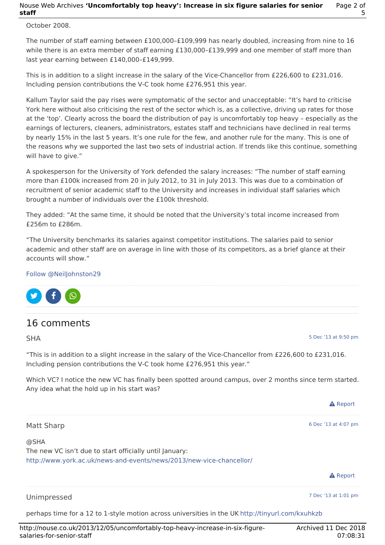#### Nouse Web Archives **'Uncomfortably top heavy': Increase in six figure salaries for senior staff** Page 2 of 5

October 2008.

The number of staff earning between £100,000–£109,999 has nearly doubled, increasing from nine to 16 while there is an extra member of staff earning £130,000–£139,999 and one member of staff more than last year earning between £140,000–£149,999.

This is in addition to a slight increase in the salary of the Vice-Chancellor from £226,600 to £231,016. Including pension contributions the V-C took home £276,951 this year.

Kallum Taylor said the pay rises were symptomatic of the sector and unacceptable: "It's hard to criticise York here without also criticising the rest of the sector which is, as a collective, driving up rates for those at the 'top'. Clearly across the board the distribution of pay is uncomfortably top heavy – especially as the earnings of lecturers, cleaners, administrators, estates staff and technicians have declined in real terms by nearly 15% in the last 5 years. It's one rule for the few, and another rule for the many. This is one of the reasons why we supported the last two sets of industrial action. If trends like this continue, something will have to give."

A spokesperson for the University of York defended the salary increases: "The number of staff earning more than £100k increased from 20 in July 2012, to 31 in July 2013. This was due to a combination of recruitment of senior academic staff to the University and increases in individual staff salaries which brought a number of individuals over the £100k threshold.

They added: "At the same time, it should be noted that the University's total income increased from £256m to £286m.

"The University benchmarks its salaries against competitor institutions. The salaries paid to senior academic and other staff are on average in line with those of its competitors, as a brief glance at their accounts will show."

#### Follow @NeilJohnston29



### 16 comments

SHA

5 Dec '13 at 9:50 pm

A Report

"This is in addition to a slight increase in the salary of the Vice-Chancellor from £226,600 to £231,016. Including pension contributions the V-C took home £276,951 this year."

Which VC? I notice the new VC has finally been spotted around campus, over 2 months since term started. Any idea what the hold up in his start was?

| Matt Sharp                                                                                                                              | 6 Dec '13 at 4:07 pm |  |  |
|-----------------------------------------------------------------------------------------------------------------------------------------|----------------------|--|--|
| @SHA<br>The new VC isn't due to start officially until January:<br>http://www.york.ac.uk/news-and-events/news/2013/new-vice-chancellor/ |                      |  |  |
|                                                                                                                                         | <b>A</b> Report      |  |  |
| Unimpressed                                                                                                                             | 7 Dec '13 at 1:01 pm |  |  |
| perhaps time for a 12 to 1-style motion across universities in the UK http://tinyurl.com/kxuhkzb                                        |                      |  |  |

http://nouse.co.uk/2013/12/05/uncomfortably-top-heavy-increase-in-six-figuresalaries-for-senior-staff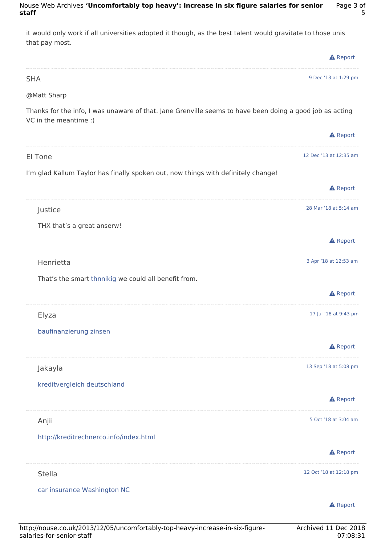| it would only work if all universities adopted it though, as the best talent would gravitate to those unis<br>that pay most.      |                        |
|-----------------------------------------------------------------------------------------------------------------------------------|------------------------|
|                                                                                                                                   | <b>A</b> Report        |
| <b>SHA</b>                                                                                                                        | 9 Dec '13 at 1:29 pm   |
| @Matt Sharp                                                                                                                       |                        |
| Thanks for the info, I was unaware of that. Jane Grenville seems to have been doing a good job as acting<br>VC in the meantime :) |                        |
|                                                                                                                                   | <b>A</b> Report        |
| El Tone                                                                                                                           | 12 Dec '13 at 12:35 am |
| I'm glad Kallum Taylor has finally spoken out, now things with definitely change!                                                 |                        |
|                                                                                                                                   | <b>A</b> Report        |
| Justice                                                                                                                           | 28 Mar '18 at 5:14 am  |
| THX that's a great anserw!                                                                                                        |                        |
|                                                                                                                                   | <b>A</b> Report        |
| Henrietta                                                                                                                         | 3 Apr '18 at 12:53 am  |
| That's the smart thnnikig we could all benefit from.                                                                              |                        |
|                                                                                                                                   | <b>A</b> Report        |
| Elyza                                                                                                                             | 17 Jul '18 at 9:43 pm  |
| baufinanzierung zinsen                                                                                                            |                        |
|                                                                                                                                   | <b>A</b> Report        |
| Jakayla                                                                                                                           | 13 Sep '18 at 5:08 pm  |
| kreditvergleich deutschland                                                                                                       |                        |
|                                                                                                                                   | <b>A</b> Report        |
| Anjii                                                                                                                             | 5 Oct '18 at 3:04 am   |
| http://kreditrechnerco.info/index.html                                                                                            |                        |
|                                                                                                                                   | <b>A</b> Report        |
| <b>Stella</b>                                                                                                                     | 12 Oct '18 at 12:18 pm |
| car insurance Washington NC                                                                                                       |                        |
|                                                                                                                                   | <b>A</b> Report        |
|                                                                                                                                   |                        |

5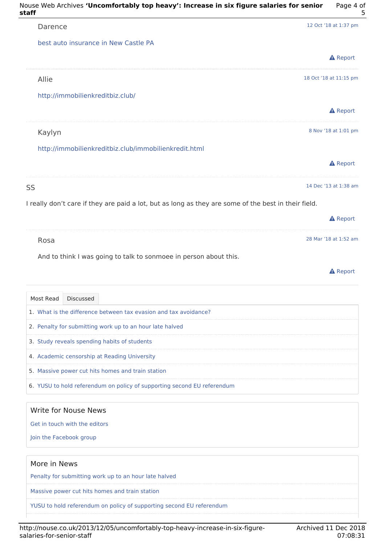

| 1. What is the difference between tax evasion and tax avoidance?<br>2. Penalty for submitting work up to an hour late halved<br>3. Study reveals spending habits of students<br>4. Academic censorship at Reading University<br>5. Massive power cut hits homes and train station |
|-----------------------------------------------------------------------------------------------------------------------------------------------------------------------------------------------------------------------------------------------------------------------------------|
|                                                                                                                                                                                                                                                                                   |
|                                                                                                                                                                                                                                                                                   |
|                                                                                                                                                                                                                                                                                   |
|                                                                                                                                                                                                                                                                                   |
|                                                                                                                                                                                                                                                                                   |
| 6. YUSU to hold referendum on policy of supporting second EU referendum                                                                                                                                                                                                           |

#### Write for Nouse News

Get in touch with the editors

Join the Facebook group

#### More in News

Penalty for submitting work up to an hour late halved

Massive power cut hits homes and train station

YUSU to hold referendum on policy of supporting second EU referendum

5